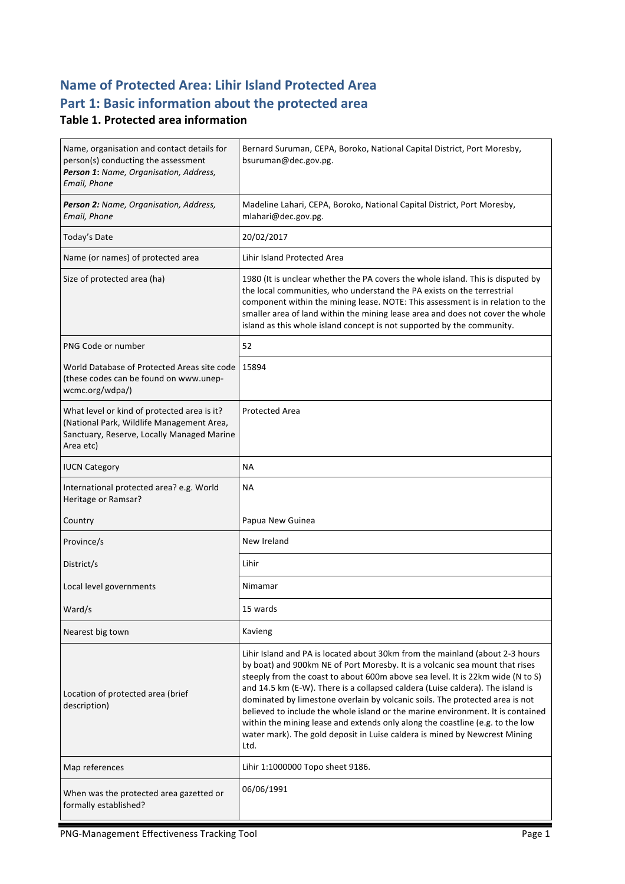### **Name of Protected Area: Lihir Island Protected Area** Part 1: Basic information about the protected area

#### **Table 1. Protected area information**

| Name, organisation and contact details for<br>person(s) conducting the assessment<br>Person 1: Name, Organisation, Address,<br>Email, Phone         | Bernard Suruman, CEPA, Boroko, National Capital District, Port Moresby,<br>bsuruman@dec.gov.pg.                                                                                                                                                                                                                                                                                                                                                                                                                                                                                                                                                                            |
|-----------------------------------------------------------------------------------------------------------------------------------------------------|----------------------------------------------------------------------------------------------------------------------------------------------------------------------------------------------------------------------------------------------------------------------------------------------------------------------------------------------------------------------------------------------------------------------------------------------------------------------------------------------------------------------------------------------------------------------------------------------------------------------------------------------------------------------------|
| Person 2: Name, Organisation, Address,<br>Email, Phone                                                                                              | Madeline Lahari, CEPA, Boroko, National Capital District, Port Moresby,<br>mlahari@dec.gov.pg.                                                                                                                                                                                                                                                                                                                                                                                                                                                                                                                                                                             |
| Today's Date                                                                                                                                        | 20/02/2017                                                                                                                                                                                                                                                                                                                                                                                                                                                                                                                                                                                                                                                                 |
| Name (or names) of protected area                                                                                                                   | Lihir Island Protected Area                                                                                                                                                                                                                                                                                                                                                                                                                                                                                                                                                                                                                                                |
| Size of protected area (ha)                                                                                                                         | 1980 (It is unclear whether the PA covers the whole island. This is disputed by<br>the local communities, who understand the PA exists on the terrestrial<br>component within the mining lease. NOTE: This assessment is in relation to the<br>smaller area of land within the mining lease area and does not cover the whole<br>island as this whole island concept is not supported by the community.                                                                                                                                                                                                                                                                    |
| PNG Code or number                                                                                                                                  | 52                                                                                                                                                                                                                                                                                                                                                                                                                                                                                                                                                                                                                                                                         |
| World Database of Protected Areas site code<br>(these codes can be found on www.unep-<br>wcmc.org/wdpa/)                                            | 15894                                                                                                                                                                                                                                                                                                                                                                                                                                                                                                                                                                                                                                                                      |
| What level or kind of protected area is it?<br>(National Park, Wildlife Management Area,<br>Sanctuary, Reserve, Locally Managed Marine<br>Area etc) | <b>Protected Area</b>                                                                                                                                                                                                                                                                                                                                                                                                                                                                                                                                                                                                                                                      |
| <b>IUCN Category</b>                                                                                                                                | <b>NA</b>                                                                                                                                                                                                                                                                                                                                                                                                                                                                                                                                                                                                                                                                  |
| International protected area? e.g. World<br>Heritage or Ramsar?                                                                                     | <b>NA</b>                                                                                                                                                                                                                                                                                                                                                                                                                                                                                                                                                                                                                                                                  |
| Country                                                                                                                                             | Papua New Guinea                                                                                                                                                                                                                                                                                                                                                                                                                                                                                                                                                                                                                                                           |
| Province/s                                                                                                                                          | New Ireland                                                                                                                                                                                                                                                                                                                                                                                                                                                                                                                                                                                                                                                                |
| District/s                                                                                                                                          | Lihir                                                                                                                                                                                                                                                                                                                                                                                                                                                                                                                                                                                                                                                                      |
| Local level governments                                                                                                                             | Nimamar                                                                                                                                                                                                                                                                                                                                                                                                                                                                                                                                                                                                                                                                    |
| Ward/s                                                                                                                                              | 15 wards                                                                                                                                                                                                                                                                                                                                                                                                                                                                                                                                                                                                                                                                   |
| Nearest big town                                                                                                                                    | Kavieng                                                                                                                                                                                                                                                                                                                                                                                                                                                                                                                                                                                                                                                                    |
| Location of protected area (brief<br>description)                                                                                                   | Lihir Island and PA is located about 30km from the mainland (about 2-3 hours<br>by boat) and 900km NE of Port Moresby. It is a volcanic sea mount that rises<br>steeply from the coast to about 600m above sea level. It is 22km wide (N to S)<br>and 14.5 km (E-W). There is a collapsed caldera (Luise caldera). The island is<br>dominated by limestone overlain by volcanic soils. The protected area is not<br>believed to include the whole island or the marine environment. It is contained<br>within the mining lease and extends only along the coastline (e.g. to the low<br>water mark). The gold deposit in Luise caldera is mined by Newcrest Mining<br>Ltd. |
| Map references                                                                                                                                      | Lihir 1:1000000 Topo sheet 9186.                                                                                                                                                                                                                                                                                                                                                                                                                                                                                                                                                                                                                                           |
| When was the protected area gazetted or<br>formally established?                                                                                    | 06/06/1991                                                                                                                                                                                                                                                                                                                                                                                                                                                                                                                                                                                                                                                                 |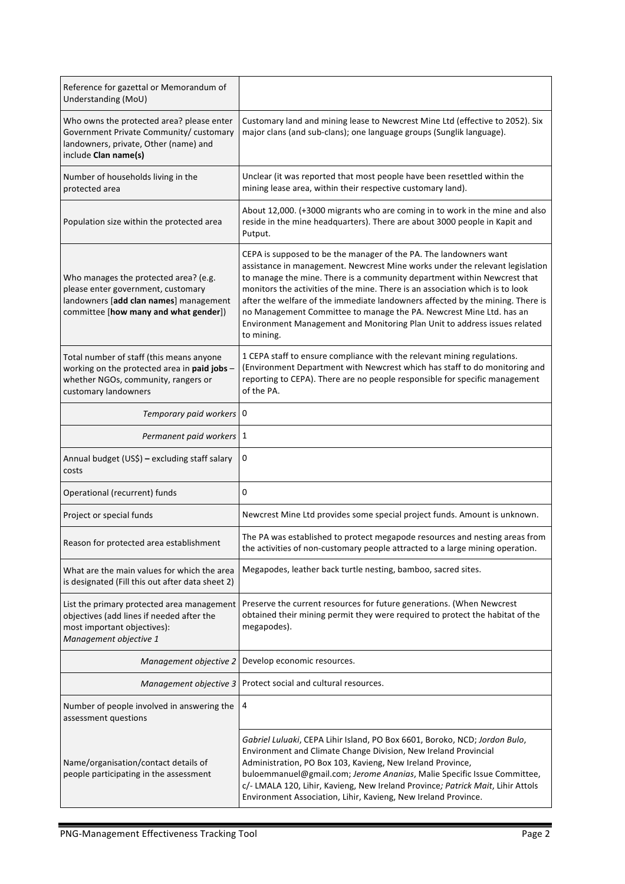| Reference for gazettal or Memorandum of<br>Understanding (MoU)                                                                                                 |                                                                                                                                                                                                                                                                                                                                                                                                                                                                                                                                                                    |
|----------------------------------------------------------------------------------------------------------------------------------------------------------------|--------------------------------------------------------------------------------------------------------------------------------------------------------------------------------------------------------------------------------------------------------------------------------------------------------------------------------------------------------------------------------------------------------------------------------------------------------------------------------------------------------------------------------------------------------------------|
| Who owns the protected area? please enter<br>Government Private Community/ customary<br>landowners, private, Other (name) and<br>include Clan name(s)          | Customary land and mining lease to Newcrest Mine Ltd (effective to 2052). Six<br>major clans (and sub-clans); one language groups (Sunglik language).                                                                                                                                                                                                                                                                                                                                                                                                              |
| Number of households living in the<br>protected area                                                                                                           | Unclear (it was reported that most people have been resettled within the<br>mining lease area, within their respective customary land).                                                                                                                                                                                                                                                                                                                                                                                                                            |
| Population size within the protected area                                                                                                                      | About 12,000. (+3000 migrants who are coming in to work in the mine and also<br>reside in the mine headquarters). There are about 3000 people in Kapit and<br>Putput.                                                                                                                                                                                                                                                                                                                                                                                              |
| Who manages the protected area? (e.g.<br>please enter government, customary<br>landowners [add clan names] management<br>committee [how many and what gender]) | CEPA is supposed to be the manager of the PA. The landowners want<br>assistance in management. Newcrest Mine works under the relevant legislation<br>to manage the mine. There is a community department within Newcrest that<br>monitors the activities of the mine. There is an association which is to look<br>after the welfare of the immediate landowners affected by the mining. There is<br>no Management Committee to manage the PA. Newcrest Mine Ltd. has an<br>Environment Management and Monitoring Plan Unit to address issues related<br>to mining. |
| Total number of staff (this means anyone<br>working on the protected area in paid jobs -<br>whether NGOs, community, rangers or<br>customary landowners        | 1 CEPA staff to ensure compliance with the relevant mining regulations.<br>(Environment Department with Newcrest which has staff to do monitoring and<br>reporting to CEPA). There are no people responsible for specific management<br>of the PA.                                                                                                                                                                                                                                                                                                                 |
| Temporary paid workers 0                                                                                                                                       |                                                                                                                                                                                                                                                                                                                                                                                                                                                                                                                                                                    |
| Permanent paid workers   1                                                                                                                                     |                                                                                                                                                                                                                                                                                                                                                                                                                                                                                                                                                                    |
| Annual budget (US\$) - excluding staff salary<br>costs                                                                                                         | 0                                                                                                                                                                                                                                                                                                                                                                                                                                                                                                                                                                  |
| Operational (recurrent) funds                                                                                                                                  | 0                                                                                                                                                                                                                                                                                                                                                                                                                                                                                                                                                                  |
| Project or special funds                                                                                                                                       | Newcrest Mine Ltd provides some special project funds. Amount is unknown.                                                                                                                                                                                                                                                                                                                                                                                                                                                                                          |
| Reason for protected area establishment                                                                                                                        | The PA was established to protect megapode resources and nesting areas from<br>the activities of non-customary people attracted to a large mining operation.                                                                                                                                                                                                                                                                                                                                                                                                       |
| What are the main values for which the area<br>is designated (Fill this out after data sheet 2)                                                                | Megapodes, leather back turtle nesting, bamboo, sacred sites.                                                                                                                                                                                                                                                                                                                                                                                                                                                                                                      |
| List the primary protected area management<br>objectives (add lines if needed after the<br>most important objectives):<br>Management objective 1               | Preserve the current resources for future generations. (When Newcrest<br>obtained their mining permit they were required to protect the habitat of the<br>megapodes).                                                                                                                                                                                                                                                                                                                                                                                              |
| Management objective 2                                                                                                                                         | Develop economic resources.                                                                                                                                                                                                                                                                                                                                                                                                                                                                                                                                        |
| Management objective 3                                                                                                                                         | Protect social and cultural resources.                                                                                                                                                                                                                                                                                                                                                                                                                                                                                                                             |
| Number of people involved in answering the<br>assessment questions                                                                                             | 4                                                                                                                                                                                                                                                                                                                                                                                                                                                                                                                                                                  |
| Name/organisation/contact details of<br>people participating in the assessment                                                                                 | Gabriel Luluaki, CEPA Lihir Island, PO Box 6601, Boroko, NCD; Jordon Bulo,<br>Environment and Climate Change Division, New Ireland Provincial<br>Administration, PO Box 103, Kavieng, New Ireland Province,<br>buloemmanuel@gmail.com; Jerome Ananias, Malie Specific Issue Committee,<br>c/- LMALA 120, Lihir, Kavieng, New Ireland Province; Patrick Mait, Lihir Attols<br>Environment Association, Lihir, Kavieng, New Ireland Province.                                                                                                                        |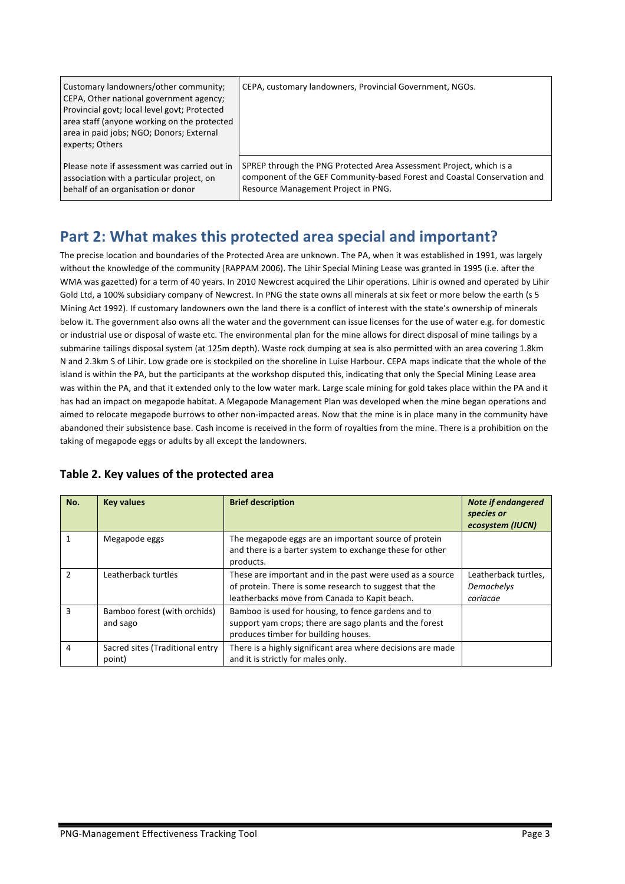| Customary landowners/other community;<br>CEPA, Other national government agency;<br>Provincial govt; local level govt; Protected<br>area staff (anyone working on the protected<br>area in paid jobs; NGO; Donors; External<br>experts; Others | CEPA, customary landowners, Provincial Government, NGOs.                 |
|------------------------------------------------------------------------------------------------------------------------------------------------------------------------------------------------------------------------------------------------|--------------------------------------------------------------------------|
| Please note if assessment was carried out in                                                                                                                                                                                                   | SPREP through the PNG Protected Area Assessment Project, which is a      |
| association with a particular project, on                                                                                                                                                                                                      | component of the GEF Community-based Forest and Coastal Conservation and |
| behalf of an organisation or donor                                                                                                                                                                                                             | Resource Management Project in PNG.                                      |

## Part 2: What makes this protected area special and important?

The precise location and boundaries of the Protected Area are unknown. The PA, when it was established in 1991, was largely without the knowledge of the community (RAPPAM 2006). The Lihir Special Mining Lease was granted in 1995 (i.e. after the WMA was gazetted) for a term of 40 years. In 2010 Newcrest acquired the Lihir operations. Lihir is owned and operated by Lihir Gold Ltd, a 100% subsidiary company of Newcrest. In PNG the state owns all minerals at six feet or more below the earth (s 5 Mining Act 1992). If customary landowners own the land there is a conflict of interest with the state's ownership of minerals below it. The government also owns all the water and the government can issue licenses for the use of water e.g. for domestic or industrial use or disposal of waste etc. The environmental plan for the mine allows for direct disposal of mine tailings by a submarine tailings disposal system (at 125m depth). Waste rock dumping at sea is also permitted with an area covering 1.8km N and 2.3km S of Lihir. Low grade ore is stockpiled on the shoreline in Luise Harbour. CEPA maps indicate that the whole of the island is within the PA, but the participants at the workshop disputed this, indicating that only the Special Mining Lease area was within the PA, and that it extended only to the low water mark. Large scale mining for gold takes place within the PA and it has had an impact on megapode habitat. A Megapode Management Plan was developed when the mine began operations and aimed to relocate megapode burrows to other non-impacted areas. Now that the mine is in place many in the community have abandoned their subsistence base. Cash income is received in the form of rovalties from the mine. There is a prohibition on the taking of megapode eggs or adults by all except the landowners.

| No.            | <b>Key values</b>                         | <b>Brief description</b>                                                                                                                                             | <b>Note if endangered</b><br>species or<br>ecosystem (IUCN) |
|----------------|-------------------------------------------|----------------------------------------------------------------------------------------------------------------------------------------------------------------------|-------------------------------------------------------------|
|                | Megapode eggs                             | The megapode eggs are an important source of protein<br>and there is a barter system to exchange these for other<br>products.                                        |                                                             |
| $\mathfrak{p}$ | Leatherback turtles                       | These are important and in the past were used as a source<br>of protein. There is some research to suggest that the<br>leatherbacks move from Canada to Kapit beach. | Leatherback turtles,<br>Demochelys<br>coriacae              |
| 3              | Bamboo forest (with orchids)<br>and sago  | Bamboo is used for housing, to fence gardens and to<br>support yam crops; there are sago plants and the forest<br>produces timber for building houses.               |                                                             |
| 4              | Sacred sites (Traditional entry<br>point) | There is a highly significant area where decisions are made<br>and it is strictly for males only.                                                                    |                                                             |

#### Table 2. Key values of the protected area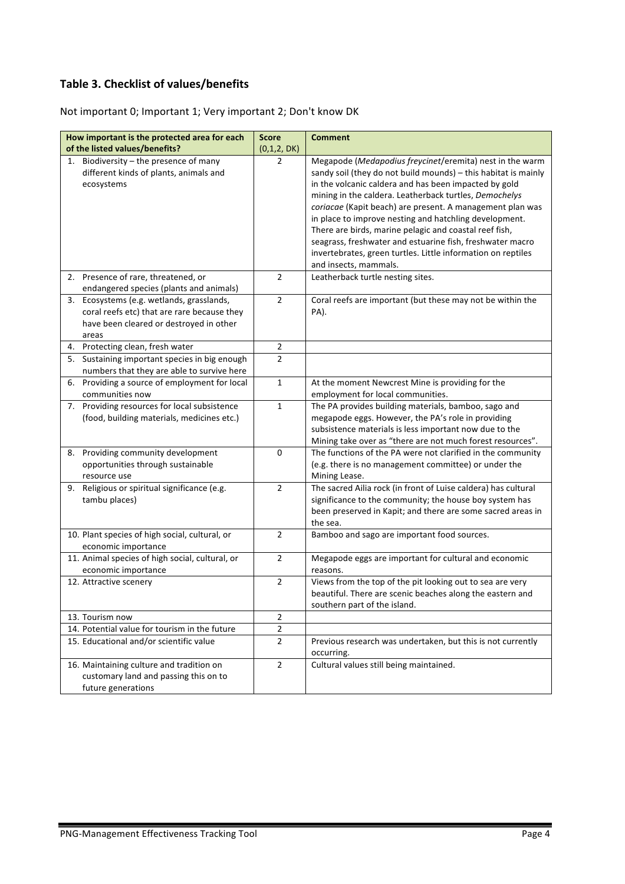#### **Table 3. Checklist of values/benefits**

Not important 0; Important 1; Very important 2; Don't know DK

| How important is the protected area for each     | <b>Score</b>   | <b>Comment</b>                                                                                                      |
|--------------------------------------------------|----------------|---------------------------------------------------------------------------------------------------------------------|
| of the listed values/benefits?                   | (0,1,2,DK)     |                                                                                                                     |
| 1. Biodiversity - the presence of many           | 2              | Megapode (Medapodius freycinet/eremita) nest in the warm                                                            |
| different kinds of plants, animals and           |                | sandy soil (they do not build mounds) - this habitat is mainly                                                      |
| ecosystems                                       |                | in the volcanic caldera and has been impacted by gold                                                               |
|                                                  |                | mining in the caldera. Leatherback turtles, Demochelys                                                              |
|                                                  |                | coriacae (Kapit beach) are present. A management plan was                                                           |
|                                                  |                | in place to improve nesting and hatchling development.                                                              |
|                                                  |                | There are birds, marine pelagic and coastal reef fish,<br>seagrass, freshwater and estuarine fish, freshwater macro |
|                                                  |                | invertebrates, green turtles. Little information on reptiles                                                        |
|                                                  |                | and insects, mammals.                                                                                               |
| 2. Presence of rare, threatened, or              | $\overline{2}$ | Leatherback turtle nesting sites.                                                                                   |
| endangered species (plants and animals)          |                |                                                                                                                     |
| Ecosystems (e.g. wetlands, grasslands,<br>3.     | $\mathbf 2$    | Coral reefs are important (but these may not be within the                                                          |
| coral reefs etc) that are rare because they      |                | PA).                                                                                                                |
| have been cleared or destroyed in other          |                |                                                                                                                     |
| areas                                            |                |                                                                                                                     |
| 4. Protecting clean, fresh water                 | $\overline{2}$ |                                                                                                                     |
| Sustaining important species in big enough<br>5. | $\overline{2}$ |                                                                                                                     |
| numbers that they are able to survive here       |                |                                                                                                                     |
| Providing a source of employment for local<br>6. | $\mathbf{1}$   | At the moment Newcrest Mine is providing for the                                                                    |
| communities now                                  |                | employment for local communities.                                                                                   |
| 7. Providing resources for local subsistence     | $\mathbf 1$    | The PA provides building materials, bamboo, sago and                                                                |
| (food, building materials, medicines etc.)       |                | megapode eggs. However, the PA's role in providing                                                                  |
|                                                  |                | subsistence materials is less important now due to the                                                              |
|                                                  |                | Mining take over as "there are not much forest resources".                                                          |
| Providing community development<br>8.            | 0              | The functions of the PA were not clarified in the community                                                         |
| opportunities through sustainable                |                | (e.g. there is no management committee) or under the                                                                |
| resource use                                     | $\overline{2}$ | Mining Lease.                                                                                                       |
| 9. Religious or spiritual significance (e.g.     |                | The sacred Ailia rock (in front of Luise caldera) has cultural                                                      |
| tambu places)                                    |                | significance to the community; the house boy system has                                                             |
|                                                  |                | been preserved in Kapit; and there are some sacred areas in<br>the sea.                                             |
| 10. Plant species of high social, cultural, or   | $\overline{2}$ | Bamboo and sago are important food sources.                                                                         |
| economic importance                              |                |                                                                                                                     |
| 11. Animal species of high social, cultural, or  | $\mathbf 2$    | Megapode eggs are important for cultural and economic                                                               |
| economic importance                              |                | reasons.                                                                                                            |
| 12. Attractive scenery                           | $\overline{2}$ | Views from the top of the pit looking out to sea are very                                                           |
|                                                  |                | beautiful. There are scenic beaches along the eastern and                                                           |
|                                                  |                | southern part of the island.                                                                                        |
| 13. Tourism now                                  | $\overline{2}$ |                                                                                                                     |
| 14. Potential value for tourism in the future    | $\overline{2}$ |                                                                                                                     |
| 15. Educational and/or scientific value          | 2              | Previous research was undertaken, but this is not currently                                                         |
|                                                  |                | occurring.                                                                                                          |
| 16. Maintaining culture and tradition on         | $\overline{2}$ | Cultural values still being maintained.                                                                             |
| customary land and passing this on to            |                |                                                                                                                     |
| future generations                               |                |                                                                                                                     |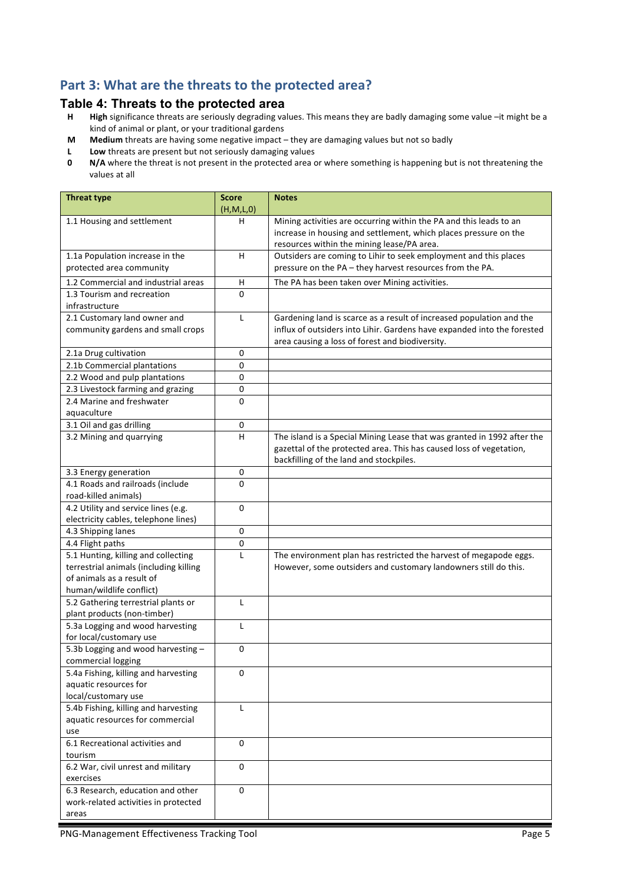### Part 3: What are the threats to the protected area?

# **Table 4: Threats to the protected area**<br>**H** High significance threats are seriously degrading va

- High significance threats are seriously degrading values. This means they are badly damaging some value -it might be a kind of animal or plant, or your traditional gardens
- **M** Medium threats are having some negative impact they are damaging values but not so badly
- **L** Low threats are present but not seriously damaging values<br>**0** N/A where the threat is not present in the protected area of
- **N/A** where the threat is not present in the protected area or where something is happening but is not threatening the values at all

| <b>Threat type</b>                                              | <b>Score</b><br>(H,M,L,0) | <b>Notes</b>                                                                                                                           |
|-----------------------------------------------------------------|---------------------------|----------------------------------------------------------------------------------------------------------------------------------------|
| 1.1 Housing and settlement                                      | н                         | Mining activities are occurring within the PA and this leads to an<br>increase in housing and settlement, which places pressure on the |
|                                                                 |                           | resources within the mining lease/PA area.                                                                                             |
| 1.1a Population increase in the                                 | H                         | Outsiders are coming to Lihir to seek employment and this places                                                                       |
| protected area community                                        |                           | pressure on the PA - they harvest resources from the PA.                                                                               |
| 1.2 Commercial and industrial areas                             | H                         | The PA has been taken over Mining activities.                                                                                          |
| 1.3 Tourism and recreation                                      | $\Omega$                  |                                                                                                                                        |
| infrastructure                                                  |                           |                                                                                                                                        |
| 2.1 Customary land owner and                                    | L                         | Gardening land is scarce as a result of increased population and the                                                                   |
| community gardens and small crops                               |                           | influx of outsiders into Lihir. Gardens have expanded into the forested                                                                |
|                                                                 |                           | area causing a loss of forest and biodiversity.                                                                                        |
| 2.1a Drug cultivation                                           | 0                         |                                                                                                                                        |
| 2.1b Commercial plantations                                     | 0                         |                                                                                                                                        |
| 2.2 Wood and pulp plantations                                   | $\mathbf 0$               |                                                                                                                                        |
| 2.3 Livestock farming and grazing                               | $\pmb{0}$                 |                                                                                                                                        |
| 2.4 Marine and freshwater                                       | $\Omega$                  |                                                                                                                                        |
| aquaculture                                                     | 0                         |                                                                                                                                        |
| 3.1 Oil and gas drilling<br>3.2 Mining and quarrying            | н                         | The island is a Special Mining Lease that was granted in 1992 after the                                                                |
|                                                                 |                           | gazettal of the protected area. This has caused loss of vegetation,                                                                    |
|                                                                 |                           | backfilling of the land and stockpiles.                                                                                                |
| 3.3 Energy generation                                           | 0                         |                                                                                                                                        |
| 4.1 Roads and railroads (include                                | $\Omega$                  |                                                                                                                                        |
| road-killed animals)                                            |                           |                                                                                                                                        |
| 4.2 Utility and service lines (e.g.                             | $\Omega$                  |                                                                                                                                        |
| electricity cables, telephone lines)                            |                           |                                                                                                                                        |
| 4.3 Shipping lanes                                              | 0                         |                                                                                                                                        |
| 4.4 Flight paths                                                | $\pmb{0}$                 |                                                                                                                                        |
| 5.1 Hunting, killing and collecting                             | $\mathsf{L}$              | The environment plan has restricted the harvest of megapode eggs.                                                                      |
| terrestrial animals (including killing                          |                           | However, some outsiders and customary landowners still do this.                                                                        |
| of animals as a result of                                       |                           |                                                                                                                                        |
| human/wildlife conflict)                                        |                           |                                                                                                                                        |
| 5.2 Gathering terrestrial plants or                             | L                         |                                                                                                                                        |
| plant products (non-timber)<br>5.3a Logging and wood harvesting | L                         |                                                                                                                                        |
| for local/customary use                                         |                           |                                                                                                                                        |
| 5.3b Logging and wood harvesting -                              | 0                         |                                                                                                                                        |
| commercial logging                                              |                           |                                                                                                                                        |
| 5.4a Fishing, killing and harvesting                            | $\Omega$                  |                                                                                                                                        |
| aquatic resources for                                           |                           |                                                                                                                                        |
| local/customary use                                             |                           |                                                                                                                                        |
| 5.4b Fishing, killing and harvesting                            | $\mathsf{L}$              |                                                                                                                                        |
| aquatic resources for commercial                                |                           |                                                                                                                                        |
| use                                                             |                           |                                                                                                                                        |
| 6.1 Recreational activities and                                 | 0                         |                                                                                                                                        |
| tourism                                                         |                           |                                                                                                                                        |
| 6.2 War, civil unrest and military                              | 0                         |                                                                                                                                        |
| exercises<br>6.3 Research, education and other                  | 0                         |                                                                                                                                        |
| work-related activities in protected                            |                           |                                                                                                                                        |
| areas                                                           |                           |                                                                                                                                        |
|                                                                 |                           |                                                                                                                                        |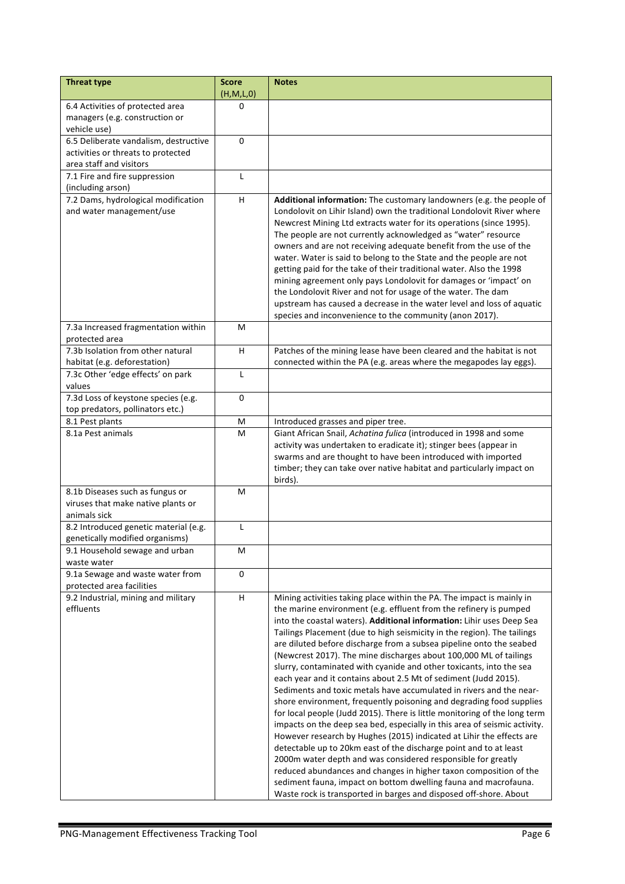| <b>Threat type</b>                                                                    | <b>Score</b><br>(H,M,L,0) | <b>Notes</b>                                                                                                                                                                                                                                                                                                                                                                                                                                                                                                                                                                                                                                                                                                                                                                                                                                                                                                                                                                                                                                                                                                                                                                                                                                                                                                           |
|---------------------------------------------------------------------------------------|---------------------------|------------------------------------------------------------------------------------------------------------------------------------------------------------------------------------------------------------------------------------------------------------------------------------------------------------------------------------------------------------------------------------------------------------------------------------------------------------------------------------------------------------------------------------------------------------------------------------------------------------------------------------------------------------------------------------------------------------------------------------------------------------------------------------------------------------------------------------------------------------------------------------------------------------------------------------------------------------------------------------------------------------------------------------------------------------------------------------------------------------------------------------------------------------------------------------------------------------------------------------------------------------------------------------------------------------------------|
| 6.4 Activities of protected area                                                      | 0                         |                                                                                                                                                                                                                                                                                                                                                                                                                                                                                                                                                                                                                                                                                                                                                                                                                                                                                                                                                                                                                                                                                                                                                                                                                                                                                                                        |
| managers (e.g. construction or                                                        |                           |                                                                                                                                                                                                                                                                                                                                                                                                                                                                                                                                                                                                                                                                                                                                                                                                                                                                                                                                                                                                                                                                                                                                                                                                                                                                                                                        |
| vehicle use)                                                                          |                           |                                                                                                                                                                                                                                                                                                                                                                                                                                                                                                                                                                                                                                                                                                                                                                                                                                                                                                                                                                                                                                                                                                                                                                                                                                                                                                                        |
| 6.5 Deliberate vandalism, destructive                                                 | $\Omega$                  |                                                                                                                                                                                                                                                                                                                                                                                                                                                                                                                                                                                                                                                                                                                                                                                                                                                                                                                                                                                                                                                                                                                                                                                                                                                                                                                        |
| activities or threats to protected                                                    |                           |                                                                                                                                                                                                                                                                                                                                                                                                                                                                                                                                                                                                                                                                                                                                                                                                                                                                                                                                                                                                                                                                                                                                                                                                                                                                                                                        |
| area staff and visitors                                                               |                           |                                                                                                                                                                                                                                                                                                                                                                                                                                                                                                                                                                                                                                                                                                                                                                                                                                                                                                                                                                                                                                                                                                                                                                                                                                                                                                                        |
| 7.1 Fire and fire suppression<br>(including arson)                                    | L                         |                                                                                                                                                                                                                                                                                                                                                                                                                                                                                                                                                                                                                                                                                                                                                                                                                                                                                                                                                                                                                                                                                                                                                                                                                                                                                                                        |
| 7.2 Dams, hydrological modification<br>and water management/use                       | H                         | Additional information: The customary landowners (e.g. the people of<br>Londolovit on Lihir Island) own the traditional Londolovit River where<br>Newcrest Mining Ltd extracts water for its operations (since 1995).<br>The people are not currently acknowledged as "water" resource<br>owners and are not receiving adequate benefit from the use of the<br>water. Water is said to belong to the State and the people are not<br>getting paid for the take of their traditional water. Also the 1998<br>mining agreement only pays Londolovit for damages or 'impact' on<br>the Londolovit River and not for usage of the water. The dam<br>upstream has caused a decrease in the water level and loss of aquatic<br>species and inconvenience to the community (anon 2017).                                                                                                                                                                                                                                                                                                                                                                                                                                                                                                                                       |
| 7.3a Increased fragmentation within<br>protected area                                 | М                         |                                                                                                                                                                                                                                                                                                                                                                                                                                                                                                                                                                                                                                                                                                                                                                                                                                                                                                                                                                                                                                                                                                                                                                                                                                                                                                                        |
| 7.3b Isolation from other natural<br>habitat (e.g. deforestation)                     | H                         | Patches of the mining lease have been cleared and the habitat is not<br>connected within the PA (e.g. areas where the megapodes lay eggs).                                                                                                                                                                                                                                                                                                                                                                                                                                                                                                                                                                                                                                                                                                                                                                                                                                                                                                                                                                                                                                                                                                                                                                             |
| 7.3c Other 'edge effects' on park<br>values                                           | L                         |                                                                                                                                                                                                                                                                                                                                                                                                                                                                                                                                                                                                                                                                                                                                                                                                                                                                                                                                                                                                                                                                                                                                                                                                                                                                                                                        |
| 7.3d Loss of keystone species (e.g.                                                   | 0                         |                                                                                                                                                                                                                                                                                                                                                                                                                                                                                                                                                                                                                                                                                                                                                                                                                                                                                                                                                                                                                                                                                                                                                                                                                                                                                                                        |
| top predators, pollinators etc.)                                                      |                           |                                                                                                                                                                                                                                                                                                                                                                                                                                                                                                                                                                                                                                                                                                                                                                                                                                                                                                                                                                                                                                                                                                                                                                                                                                                                                                                        |
| 8.1 Pest plants                                                                       | M                         | Introduced grasses and piper tree.                                                                                                                                                                                                                                                                                                                                                                                                                                                                                                                                                                                                                                                                                                                                                                                                                                                                                                                                                                                                                                                                                                                                                                                                                                                                                     |
| 8.1a Pest animals                                                                     | M                         | Giant African Snail, Achatina fulica (introduced in 1998 and some<br>activity was undertaken to eradicate it); stinger bees (appear in<br>swarms and are thought to have been introduced with imported<br>timber; they can take over native habitat and particularly impact on<br>birds).                                                                                                                                                                                                                                                                                                                                                                                                                                                                                                                                                                                                                                                                                                                                                                                                                                                                                                                                                                                                                              |
| 8.1b Diseases such as fungus or<br>viruses that make native plants or<br>animals sick | м                         |                                                                                                                                                                                                                                                                                                                                                                                                                                                                                                                                                                                                                                                                                                                                                                                                                                                                                                                                                                                                                                                                                                                                                                                                                                                                                                                        |
| 8.2 Introduced genetic material (e.g.<br>genetically modified organisms)              | L                         |                                                                                                                                                                                                                                                                                                                                                                                                                                                                                                                                                                                                                                                                                                                                                                                                                                                                                                                                                                                                                                                                                                                                                                                                                                                                                                                        |
| 9.1 Household sewage and urban<br>waste water                                         | М                         |                                                                                                                                                                                                                                                                                                                                                                                                                                                                                                                                                                                                                                                                                                                                                                                                                                                                                                                                                                                                                                                                                                                                                                                                                                                                                                                        |
| 9.1a Sewage and waste water from<br>protected area facilities                         | 0                         |                                                                                                                                                                                                                                                                                                                                                                                                                                                                                                                                                                                                                                                                                                                                                                                                                                                                                                                                                                                                                                                                                                                                                                                                                                                                                                                        |
| 9.2 Industrial, mining and military<br>effluents                                      | н                         | Mining activities taking place within the PA. The impact is mainly in<br>the marine environment (e.g. effluent from the refinery is pumped<br>into the coastal waters). Additional information: Lihir uses Deep Sea<br>Tailings Placement (due to high seismicity in the region). The tailings<br>are diluted before discharge from a subsea pipeline onto the seabed<br>(Newcrest 2017). The mine discharges about 100,000 ML of tailings<br>slurry, contaminated with cyanide and other toxicants, into the sea<br>each year and it contains about 2.5 Mt of sediment (Judd 2015).<br>Sediments and toxic metals have accumulated in rivers and the near-<br>shore environment, frequently poisoning and degrading food supplies<br>for local people (Judd 2015). There is little monitoring of the long term<br>impacts on the deep sea bed, especially in this area of seismic activity.<br>However research by Hughes (2015) indicated at Lihir the effects are<br>detectable up to 20km east of the discharge point and to at least<br>2000m water depth and was considered responsible for greatly<br>reduced abundances and changes in higher taxon composition of the<br>sediment fauna, impact on bottom dwelling fauna and macrofauna.<br>Waste rock is transported in barges and disposed off-shore. About |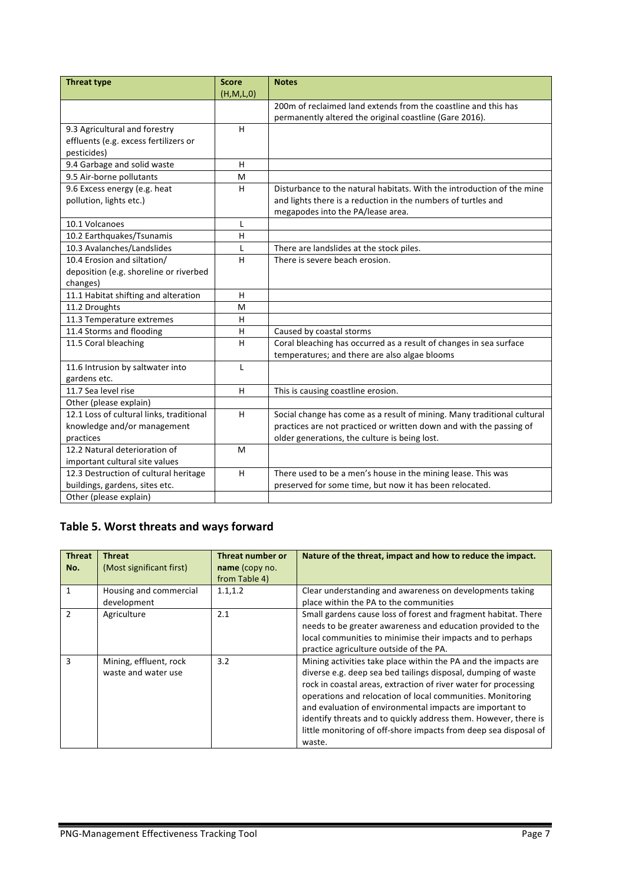| <b>Threat type</b>                       | <b>Score</b> | <b>Notes</b>                                                            |
|------------------------------------------|--------------|-------------------------------------------------------------------------|
|                                          | (H, M, L, 0) |                                                                         |
|                                          |              | 200m of reclaimed land extends from the coastline and this has          |
|                                          |              | permanently altered the original coastline (Gare 2016).                 |
| 9.3 Agricultural and forestry            | H            |                                                                         |
| effluents (e.g. excess fertilizers or    |              |                                                                         |
| pesticides)                              |              |                                                                         |
| 9.4 Garbage and solid waste              | H            |                                                                         |
| 9.5 Air-borne pollutants                 | M            |                                                                         |
| 9.6 Excess energy (e.g. heat             | H            | Disturbance to the natural habitats. With the introduction of the mine  |
| pollution, lights etc.)                  |              | and lights there is a reduction in the numbers of turtles and           |
|                                          |              | megapodes into the PA/lease area.                                       |
| 10.1 Volcanoes                           | L            |                                                                         |
| 10.2 Earthquakes/Tsunamis                | Н            |                                                                         |
| 10.3 Avalanches/Landslides               | L            | There are landslides at the stock piles.                                |
| 10.4 Erosion and siltation/              | H            | There is severe beach erosion.                                          |
| deposition (e.g. shoreline or riverbed   |              |                                                                         |
| changes)                                 |              |                                                                         |
| 11.1 Habitat shifting and alteration     | H            |                                                                         |
| 11.2 Droughts                            | M            |                                                                         |
| 11.3 Temperature extremes                | H            |                                                                         |
| 11.4 Storms and flooding                 | H            | Caused by coastal storms                                                |
| 11.5 Coral bleaching                     | Н            | Coral bleaching has occurred as a result of changes in sea surface      |
|                                          |              | temperatures; and there are also algae blooms                           |
| 11.6 Intrusion by saltwater into         | $\mathbf{L}$ |                                                                         |
| gardens etc.                             |              |                                                                         |
| 11.7 Sea level rise                      | H            | This is causing coastline erosion.                                      |
| Other (please explain)                   |              |                                                                         |
| 12.1 Loss of cultural links, traditional | н            | Social change has come as a result of mining. Many traditional cultural |
| knowledge and/or management              |              | practices are not practiced or written down and with the passing of     |
| practices                                |              | older generations, the culture is being lost.                           |
| 12.2 Natural deterioration of            | M            |                                                                         |
| important cultural site values           |              |                                                                         |
| 12.3 Destruction of cultural heritage    | H            | There used to be a men's house in the mining lease. This was            |
| buildings, gardens, sites etc.           |              | preserved for some time, but now it has been relocated.                 |
| Other (please explain)                   |              |                                                                         |

### Table 5. Worst threats and ways forward

| <b>Threat</b><br>No. | <b>Threat</b><br>(Most significant first)     | Threat number or<br>name (copy no.<br>from Table 4) | Nature of the threat, impact and how to reduce the impact.                                                                                                                                                                                                                                                                                                                                                                                                                    |
|----------------------|-----------------------------------------------|-----------------------------------------------------|-------------------------------------------------------------------------------------------------------------------------------------------------------------------------------------------------------------------------------------------------------------------------------------------------------------------------------------------------------------------------------------------------------------------------------------------------------------------------------|
| 1                    | Housing and commercial<br>development         | 1.1, 1.2                                            | Clear understanding and awareness on developments taking<br>place within the PA to the communities                                                                                                                                                                                                                                                                                                                                                                            |
| $\mathcal{P}$        | Agriculture                                   | 2.1                                                 | Small gardens cause loss of forest and fragment habitat. There<br>needs to be greater awareness and education provided to the<br>local communities to minimise their impacts and to perhaps<br>practice agriculture outside of the PA.                                                                                                                                                                                                                                        |
| 3                    | Mining, effluent, rock<br>waste and water use | 3.2                                                 | Mining activities take place within the PA and the impacts are<br>diverse e.g. deep sea bed tailings disposal, dumping of waste<br>rock in coastal areas, extraction of river water for processing<br>operations and relocation of local communities. Monitoring<br>and evaluation of environmental impacts are important to<br>identify threats and to quickly address them. However, there is<br>little monitoring of off-shore impacts from deep sea disposal of<br>waste. |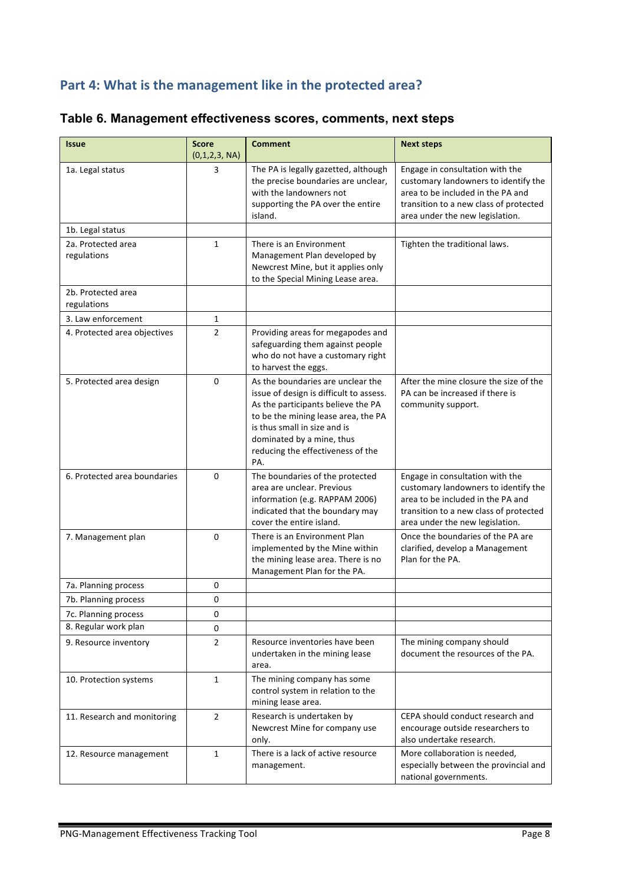#### Part 4: What is the management like in the protected area?

| <b>Issue</b>                      | <b>Score</b><br>(0,1,2,3, NA) | <b>Comment</b>                                                                                                                                                                                                                                                     | <b>Next steps</b>                                                                                                                                                                         |
|-----------------------------------|-------------------------------|--------------------------------------------------------------------------------------------------------------------------------------------------------------------------------------------------------------------------------------------------------------------|-------------------------------------------------------------------------------------------------------------------------------------------------------------------------------------------|
| 1a. Legal status                  | 3                             | The PA is legally gazetted, although<br>the precise boundaries are unclear,<br>with the landowners not<br>supporting the PA over the entire<br>island.                                                                                                             | Engage in consultation with the<br>customary landowners to identify the<br>area to be included in the PA and<br>transition to a new class of protected<br>area under the new legislation. |
| 1b. Legal status                  |                               |                                                                                                                                                                                                                                                                    |                                                                                                                                                                                           |
| 2a. Protected area<br>regulations | $\mathbf{1}$                  | There is an Environment<br>Management Plan developed by<br>Newcrest Mine, but it applies only<br>to the Special Mining Lease area.                                                                                                                                 | Tighten the traditional laws.                                                                                                                                                             |
| 2b. Protected area<br>regulations |                               |                                                                                                                                                                                                                                                                    |                                                                                                                                                                                           |
| 3. Law enforcement                | 1                             |                                                                                                                                                                                                                                                                    |                                                                                                                                                                                           |
| 4. Protected area objectives      | $\overline{2}$                | Providing areas for megapodes and<br>safeguarding them against people<br>who do not have a customary right<br>to harvest the eggs.                                                                                                                                 |                                                                                                                                                                                           |
| 5. Protected area design          | 0                             | As the boundaries are unclear the<br>issue of design is difficult to assess.<br>As the participants believe the PA<br>to be the mining lease area, the PA<br>is thus small in size and is<br>dominated by a mine, thus<br>reducing the effectiveness of the<br>PA. | After the mine closure the size of the<br>PA can be increased if there is<br>community support.                                                                                           |
| 6. Protected area boundaries      | 0                             | The boundaries of the protected<br>area are unclear. Previous<br>information (e.g. RAPPAM 2006)<br>indicated that the boundary may<br>cover the entire island.                                                                                                     | Engage in consultation with the<br>customary landowners to identify the<br>area to be included in the PA and<br>transition to a new class of protected<br>area under the new legislation. |
| 7. Management plan                | 0                             | There is an Environment Plan<br>implemented by the Mine within<br>the mining lease area. There is no<br>Management Plan for the PA.                                                                                                                                | Once the boundaries of the PA are<br>clarified, develop a Management<br>Plan for the PA.                                                                                                  |
| 7a. Planning process              | 0                             |                                                                                                                                                                                                                                                                    |                                                                                                                                                                                           |
| 7b. Planning process              | 0                             |                                                                                                                                                                                                                                                                    |                                                                                                                                                                                           |
| 7c. Planning process              | 0                             |                                                                                                                                                                                                                                                                    |                                                                                                                                                                                           |
| 8. Regular work plan              | 0                             |                                                                                                                                                                                                                                                                    |                                                                                                                                                                                           |
| 9. Resource inventory             | 2                             | Resource inventories have been<br>undertaken in the mining lease<br>area.                                                                                                                                                                                          | The mining company should<br>document the resources of the PA.                                                                                                                            |
| 10. Protection systems            | $\mathbf{1}$                  | The mining company has some<br>control system in relation to the<br>mining lease area.                                                                                                                                                                             |                                                                                                                                                                                           |
| 11. Research and monitoring       | $\overline{2}$                | Research is undertaken by<br>CEPA should conduct research and<br>Newcrest Mine for company use<br>encourage outside researchers to<br>also undertake research.<br>only.                                                                                            |                                                                                                                                                                                           |
| 12. Resource management           | 1                             | There is a lack of active resource<br>management.                                                                                                                                                                                                                  | More collaboration is needed,<br>especially between the provincial and<br>national governments.                                                                                           |

### **Table 6. Management effectiveness scores, comments, next steps**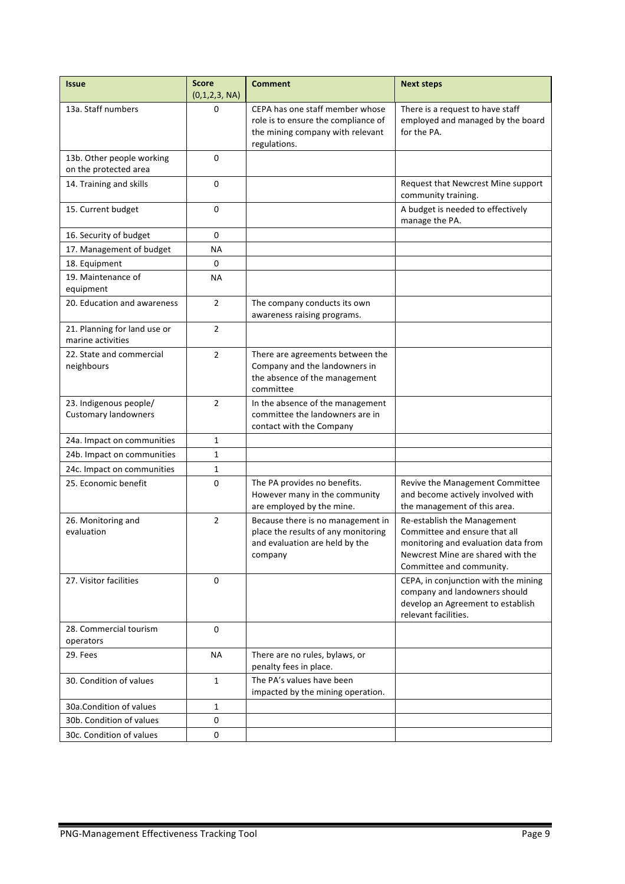| <b>Issue</b>                                          | <b>Score</b><br>(0,1,2,3, NA) | <b>Comment</b>                                                                                                             | <b>Next steps</b>                                                                                                                                                    |
|-------------------------------------------------------|-------------------------------|----------------------------------------------------------------------------------------------------------------------------|----------------------------------------------------------------------------------------------------------------------------------------------------------------------|
| 13a. Staff numbers                                    | 0                             | CEPA has one staff member whose<br>role is to ensure the compliance of<br>the mining company with relevant<br>regulations. | There is a request to have staff<br>employed and managed by the board<br>for the PA.                                                                                 |
| 13b. Other people working<br>on the protected area    | 0                             |                                                                                                                            |                                                                                                                                                                      |
| 14. Training and skills                               | $\Omega$                      |                                                                                                                            | Request that Newcrest Mine support<br>community training.                                                                                                            |
| 15. Current budget                                    | 0                             |                                                                                                                            | A budget is needed to effectively<br>manage the PA.                                                                                                                  |
| 16. Security of budget                                | 0                             |                                                                                                                            |                                                                                                                                                                      |
| 17. Management of budget                              | ΝA                            |                                                                                                                            |                                                                                                                                                                      |
| 18. Equipment                                         | 0                             |                                                                                                                            |                                                                                                                                                                      |
| 19. Maintenance of<br>equipment                       | ΝA                            |                                                                                                                            |                                                                                                                                                                      |
| 20. Education and awareness                           | $\overline{2}$                | The company conducts its own<br>awareness raising programs.                                                                |                                                                                                                                                                      |
| 21. Planning for land use or<br>marine activities     | 2                             |                                                                                                                            |                                                                                                                                                                      |
| 22. State and commercial<br>neighbours                | $\overline{2}$                | There are agreements between the<br>Company and the landowners in<br>the absence of the management<br>committee            |                                                                                                                                                                      |
| 23. Indigenous people/<br><b>Customary landowners</b> | $\overline{2}$                | In the absence of the management<br>committee the landowners are in<br>contact with the Company                            |                                                                                                                                                                      |
| 24a. Impact on communities                            | 1                             |                                                                                                                            |                                                                                                                                                                      |
| 24b. Impact on communities                            | 1                             |                                                                                                                            |                                                                                                                                                                      |
| 24c. Impact on communities                            | 1                             |                                                                                                                            |                                                                                                                                                                      |
| 25. Economic benefit                                  | 0                             | The PA provides no benefits.<br>However many in the community<br>are employed by the mine.                                 | Revive the Management Committee<br>and become actively involved with<br>the management of this area.                                                                 |
| 26. Monitoring and<br>evaluation                      | $\overline{2}$                | Because there is no management in<br>place the results of any monitoring<br>and evaluation are held by the<br>company      | Re-establish the Management<br>Committee and ensure that all<br>monitoring and evaluation data from<br>Newcrest Mine are shared with the<br>Committee and community. |
| 27. Visitor facilities                                | $\Omega$                      |                                                                                                                            | CEPA, in conjunction with the mining<br>company and landowners should<br>develop an Agreement to establish<br>relevant facilities.                                   |
| 28. Commercial tourism<br>operators                   | $\Omega$                      |                                                                                                                            |                                                                                                                                                                      |
| 29. Fees                                              | ΝA                            | There are no rules, bylaws, or<br>penalty fees in place.                                                                   |                                                                                                                                                                      |
| 30. Condition of values                               | $\mathbf{1}$                  | The PA's values have been<br>impacted by the mining operation.                                                             |                                                                                                                                                                      |
| 30a. Condition of values                              | 1                             |                                                                                                                            |                                                                                                                                                                      |
| 30b. Condition of values                              | 0                             |                                                                                                                            |                                                                                                                                                                      |
| 30c. Condition of values                              | 0                             |                                                                                                                            |                                                                                                                                                                      |